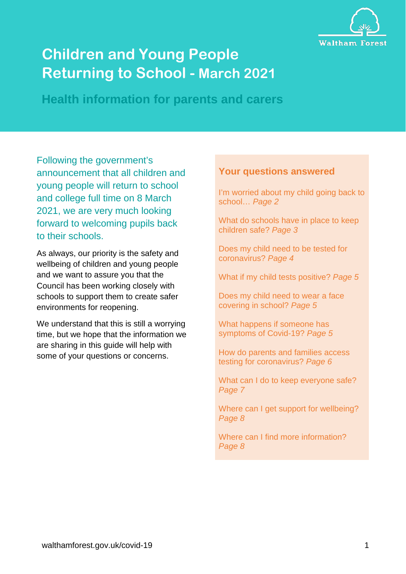

# **Children and Young People Returning to School - March 2021**

**Health information for parents and carers**

Following the government's announcement that all children and young people will return to school and college full time on 8 March 2021, we are very much looking forward to welcoming pupils back to their schools.

As always, our priority is the safety and wellbeing of children and young people and we want to assure you that the Council has been working closely with schools to support them to create safer environments for reopening.

We understand that this is still a worrying time, but we hope that the information we are sharing in this guide will help with some of your questions or concerns.

#### **Your questions answered**

I'm worried about my child going back to school… *Page 2*

What do schools have in place to keep children safe? *Page 3*

Does my child need to be tested for coronavirus? *Page 4*

What if my child tests positive? *Page 5*

Does my child need to wear a face covering in school? *Page 5*

What happens if someone has symptoms of Covid-19? *Page 5*

How do parents and families access testing for coronavirus? *Page 6*

What can I do to keep everyone safe? *Page 7*

Where can I get support for wellbeing? *Page 8*

Where can I find more information? *Page 8*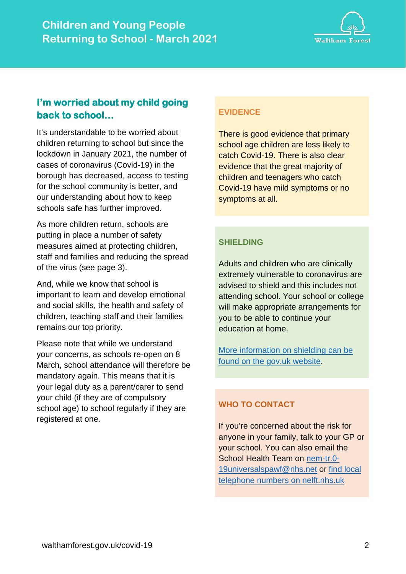

# **I'm worried about my child going back to school…**

It's understandable to be worried about children returning to school but since the lockdown in January 2021, the number of cases of coronavirus (Covid-19) in the borough has decreased, access to testing for the school community is better, and our understanding about how to keep schools safe has further improved.

As more children return, schools are putting in place a number of safety measures aimed at protecting children, staff and families and reducing the spread of the virus (see page 3).

And, while we know that school is important to learn and develop emotional and social skills, the health and safety of children, teaching staff and their families remains our top priority.

Please note that while we understand your concerns, as schools re-open on 8 March, school attendance will therefore be mandatory again. This means that it is your legal duty as a parent/carer to send your child (if they are of compulsory school age) to school regularly if they are registered at one.

## **EVIDENCE**

There is good evidence that primary school age children are less likely to catch Covid-19. There is also clear evidence that the great majority of children and teenagers who catch Covid-19 have mild symptoms or no symptoms at all.

## **SHIELDING**

Adults and children who are clinically extremely vulnerable to coronavirus are advised to shield and this includes not attending school. Your school or college will make appropriate arrangements for you to be able to continue your education at home.

[More information on shielding can be](https://www.gov.uk/government/publications/guidance-on-shielding-and-protecting-extremely-vulnerable-persons-from-covid-19/guidance-on-shielding-and-protecting-extremely-vulnerable-persons-from-covid-19)  [found on the gov.uk website.](https://www.gov.uk/government/publications/guidance-on-shielding-and-protecting-extremely-vulnerable-persons-from-covid-19/guidance-on-shielding-and-protecting-extremely-vulnerable-persons-from-covid-19)

## **WHO TO CONTACT**

If you're concerned about the risk for anyone in your family, talk to your GP or your school. You can also email the School Health Team on [nem-tr.0-](mailto:nem-tr.0-19universalspawf@nhs.net) [19universalspawf@nhs.net](mailto:nem-tr.0-19universalspawf@nhs.net) or [find local](https://www.nelft.nhs.uk/services-waltham-forest-universal-intervention/)  [telephone numbers on nelft.nhs.uk](https://www.nelft.nhs.uk/services-waltham-forest-universal-intervention/)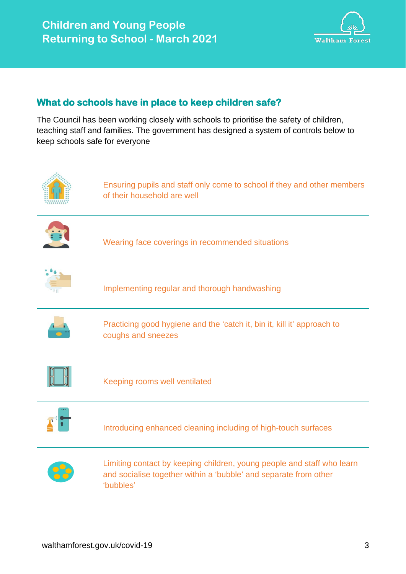

## **What do schools have in place to keep children safe?**

The Council has been working closely with schools to prioritise the safety of children, teaching staff and families. The government has designed a system of controls below to keep schools safe for everyone

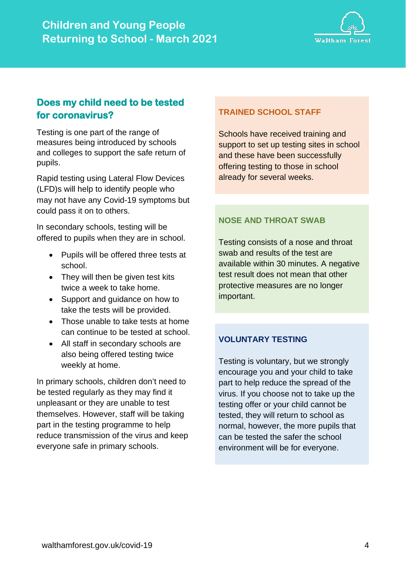

# **Does my child need to be tested for coronavirus?**

Testing is one part of the range of measures being introduced by schools and colleges to support the safe return of pupils.

Rapid testing using Lateral Flow Devices (LFD)s will help to identify people who may not have any Covid-19 symptoms but could pass it on to others.

In secondary schools, testing will be offered to pupils when they are in school.

- Pupils will be offered three tests at school.
- They will then be given test kits twice a week to take home.
- Support and guidance on how to take the tests will be provided.
- Those unable to take tests at home can continue to be tested at school.
- All staff in secondary schools are also being offered testing twice weekly at home.

In primary schools, children don't need to be tested regularly as they may find it unpleasant or they are unable to test themselves. However, staff will be taking part in the testing programme to help reduce transmission of the virus and keep everyone safe in primary schools.

## **TRAINED SCHOOL STAFF**

Schools have received training and support to set up testing sites in school and these have been successfully offering testing to those in school already for several weeks.

## **NOSE AND THROAT SWAB**

Testing consists of a nose and throat swab and results of the test are available within 30 minutes. A negative test result does not mean that other protective measures are no longer important.

#### **VOLUNTARY TESTING**

Testing is voluntary, but we strongly encourage you and your child to take part to help reduce the spread of the virus. If you choose not to take up the testing offer or your child cannot be tested, they will return to school as normal, however, the more pupils that can be tested the safer the school environment will be for everyone.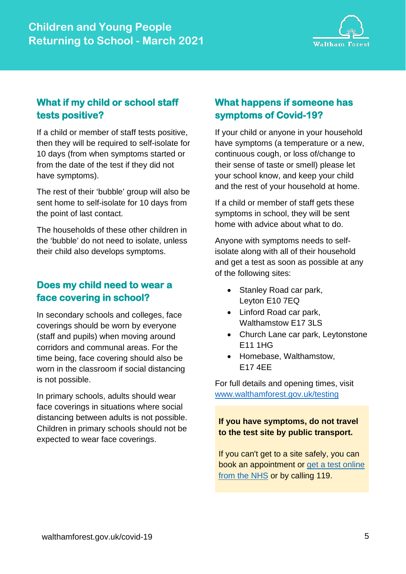

# **What if my child or school staff tests positive?**

If a child or member of staff tests positive, then they will be required to self-isolate for 10 days (from when symptoms started or from the date of the test if they did not have symptoms).

The rest of their 'bubble' group will also be sent home to self-isolate for 10 days from the point of last contact.

The households of these other children in the 'bubble' do not need to isolate, unless their child also develops symptoms.

# **Does my child need to wear a face covering in school?**

In secondary schools and colleges, face coverings should be worn by everyone (staff and pupils) when moving around corridors and communal areas. For the time being, face covering should also be worn in the classroom if social distancing is not possible.

In primary schools, adults should wear face coverings in situations where social distancing between adults is not possible. Children in primary schools should not be expected to wear face coverings.

# **What happens if someone has symptoms of Covid-19?**

If your child or anyone in your household have symptoms (a temperature or a new, continuous cough, or loss of/change to their sense of taste or smell) please let your school know, and keep your child and the rest of your household at home.

If a child or member of staff gets these symptoms in school, they will be sent home with advice about what to do.

Anyone with symptoms needs to selfisolate along with all of their household and get a test as soon as possible at any of the following sites:

- Stanley Road car park, Leyton E10 7EQ
- Linford Road car park, Walthamstow E17 3LS
- Church Lane car park, Leytonstone E11 1HG
- Homebase, Walthamstow, E17 4EE

For full details and opening times, visit [www.walthamforest.gov.uk/testing](http://www.walthamforest.gov.uk/testing)

## **If you have symptoms, do not travel to the test site by public transport.**

If you can't get to a site safely, you can book an appointment or [get a test online](https://www.gov.uk/get-coronavirus-test)  [from the NHS](https://www.gov.uk/get-coronavirus-test) or by calling 119.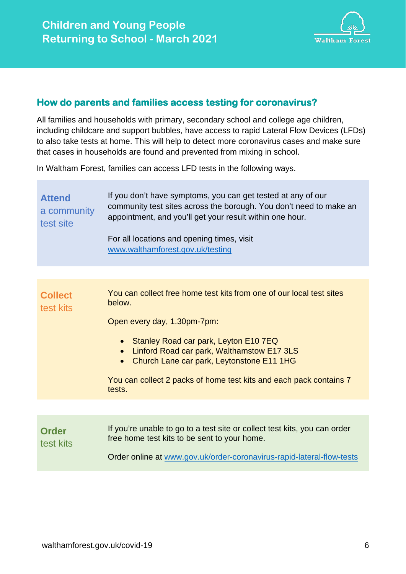

## **How do parents and families access testing for coronavirus?**

All families and households with primary, secondary school and college age children, including childcare and support bubbles, have access to rapid Lateral Flow Devices (LFDs) to also take tests at home. This will help to detect more coronavirus cases and make sure that cases in households are found and prevented from mixing in school.

In Waltham Forest, families can access LFD tests in the following ways.

| <b>Attend</b><br>a community<br>test site | If you don't have symptoms, you can get tested at any of our<br>community test sites across the borough. You don't need to make an<br>appointment, and you'll get your result within one hour.<br>For all locations and opening times, visit<br>www.walthamforest.gov.uk/testing                                                      |
|-------------------------------------------|---------------------------------------------------------------------------------------------------------------------------------------------------------------------------------------------------------------------------------------------------------------------------------------------------------------------------------------|
|                                           |                                                                                                                                                                                                                                                                                                                                       |
| <b>Collect</b><br>test kits               | You can collect free home test kits from one of our local test sites<br>below.<br>Open every day, 1.30pm-7pm:<br>• Stanley Road car park, Leyton E10 7EQ<br>Linford Road car park, Walthamstow E17 3LS<br>• Church Lane car park, Leytonstone E11 1HG<br>You can collect 2 packs of home test kits and each pack contains 7<br>tests. |
|                                           |                                                                                                                                                                                                                                                                                                                                       |
| <b>Order</b><br>test kits                 | If you're unable to go to a test site or collect test kits, you can order<br>free home test kits to be sent to your home.<br>Order online at www.gov.uk/order-coronavirus-rapid-lateral-flow-tests                                                                                                                                    |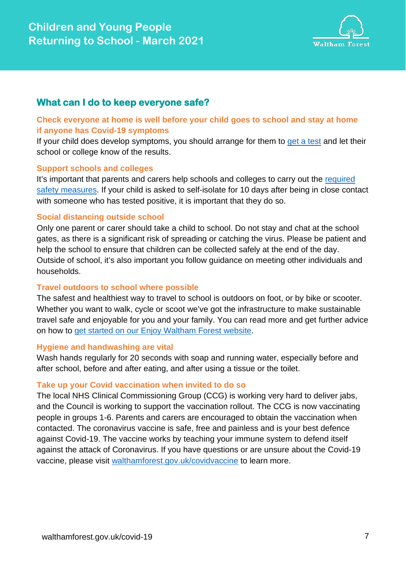

## **What can I do to keep everyone safe?**

#### **Check everyone at home is well before your child goes to school and stay at home if anyone has Covid-19 symptoms**

If your child does develop symptoms, you should arrange for them to [get a test](https://www.gov.uk/get-coronavirus-test) and let their school or college know of the results.

#### **Support schools and colleges**

It's important that parents and carers help schools and colleges to carry out the [required](https://www.gov.uk/government/publications/what-parents-and-carers-need-to-know-about-early-years-providers-schools-and-colleges-during-the-coronavirus-covid-19-outbreak/what-parents-and-carers-need-to-know-about-early-years-providers-schools-and-colleges-in-the-autumn-term)  [safety measures.](https://www.gov.uk/government/publications/what-parents-and-carers-need-to-know-about-early-years-providers-schools-and-colleges-during-the-coronavirus-covid-19-outbreak/what-parents-and-carers-need-to-know-about-early-years-providers-schools-and-colleges-in-the-autumn-term) If your child is asked to self-isolate for 10 days after being in close contact with someone who has tested positive, it is important that they do so.

#### **Social distancing outside school**

Only one parent or carer should take a child to school. Do not stay and chat at the school gates, as there is a significant risk of spreading or catching the virus. Please be patient and help the school to ensure that children can be collected safely at the end of the day. Outside of school, it's also important you follow guidance on meeting other individuals and households.

#### **Travel outdoors to school where possible**

The safest and healthiest way to travel to school is outdoors on foot, or by bike or scooter. Whether you want to walk, cycle or scoot we've got the infrastructure to make sustainable travel safe and enjoyable for you and your family. You can read more and get further advice on how to [get started on our Enjoy Waltham Forest website.](https://enjoywalthamforest.co.uk/travel-to-school-in-a-sustainable-way/)

#### **Hygiene and handwashing are vital**

Wash hands regularly for 20 seconds with soap and running water, especially before and after school, before and after eating, and after using a tissue or the toilet.

#### **Take up your Covid vaccination when invited to do so**

The local NHS Clinical Commissioning Group (CCG) is working very hard to deliver jabs, and the Council is working to support the vaccination rollout. The CCG is now vaccinating people in groups 1-6. Parents and carers are encouraged to obtain the vaccination when contacted. The coronavirus vaccine is safe, free and painless and is your best defence against Covid-19. The vaccine works by teaching your immune system to defend itself against the attack of Coronavirus. If you have questions or are unsure about the Covid-19 vaccine, please visit walthamforest.gov.uk/covidvaccine to learn more.